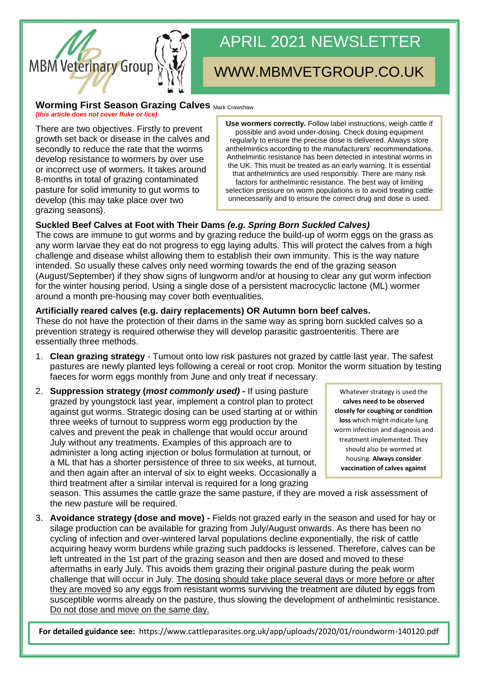

# APRIL 2021 NEWSLETTER

# WWW.MBMVETGROUP.CO.UK

#### **Worming First Season Grazing Calves Mark Crawshaw**

*(this article does not cover fluke or lice)*

There are two objectives. Firstly to prevent growth set back or disease in the calves and secondly to reduce the rate that the worms develop resistance to wormers by over use or incorrect use of wormers. It takes around 8-months in total of grazing contaminated pasture for solid immunity to gut worms to develop (this may take place over two grazing seasons).

**Use wormers correctly.** Follow label instructions, weigh cattle if possible and avoid under-dosing. Check dosing equipment regularly to ensure the precise dose is delivered. Always store anthelmintics according to the manufacturers' recommendations. Anthelmintic resistance has been detected in intestinal worms in the UK. This must be treated as an early warning. It is essential that anthelmintics are used responsibly. There are many risk factors for anthelmintic resistance. The best way of limiting selection pressure on worm populations is to avoid treating cattle unnecessarily and to ensure the correct drug and dose is used.

## **Suckled Beef Calves at Foot with Their Dams** *(e.g. Spring Born Suckled Calves)*

The cows are immune to gut worms and by grazing reduce the build-up of worm eggs on the grass as any worm larvae they eat do not progress to egg laying adults. This will protect the calves from a high challenge and disease whilst allowing them to establish their own immunity. This is the way nature intended. So usually these calves only need worming towards the end of the grazing season (August/September) if they show signs of lungworm and/or at housing to clear any gut worm infection for the winter housing period. Using a single dose of a persistent macrocyclic lactone (ML) wormer around a month pre-housing may cover both eventualities.

### **Artificially reared calves (e.g. dairy replacements) OR Autumn born beef calves.**

These do not have the protection of their dams in the same way as spring born suckled calves so a prevention strategy is required otherwise they will develop parasitic gastroenteritis. There are essentially three methods.

- 1. **Clean grazing strategy** Turnout onto low risk pastures not grazed by cattle last year. The safest pastures are newly planted leys following a cereal or root crop. Monitor the worm situation by testing faeces for worm eggs monthly from June and only treat if necessary.
- 2. **Suppression strategy (***most commonly used)* **-** If using pasture grazed by youngstock last year, implement a control plan to protect against gut worms. Strategic dosing can be used starting at or within three weeks of turnout to suppress worm egg production by the calves and prevent the peak in challenge that would occur around July without any treatments. Examples of this approach are to administer a long acting injection or bolus formulation at turnout, or a ML that has a shorter persistence of three to six weeks, at turnout, and then again after an interval of six to eight weeks. Occasionally a third treatment after a similar interval is required for a long grazing

Whatever strategy is used the **calves need to be observed closely for coughing or condition loss** which might indicate lung worm infection and diagnosis and treatment implemented. They should also be wormed at housing. **Always consider vaccination of calves against** 

**lungworm.**

season. This assumes the cattle graze the same pasture, if they are moved a risk assessment of the new pasture will be required.

3. **Avoidance strategy (dose and move) -** Fields not grazed early in the season and used for hay or silage production can be available for grazing from July/August onwards. As there has been no cycling of infection and over-wintered larval populations decline exponentially, the risk of cattle acquiring heavy worm burdens while grazing such paddocks is lessened. Therefore, calves can be left untreated in the 1st part of the grazing season and then are dosed and moved to these aftermaths in early July. This avoids them grazing their original pasture during the peak worm challenge that will occur in July. The dosing should take place several days or more before or after they are moved so any eggs from resistant worms surviving the treatment are diluted by eggs from susceptible worms already on the pasture, thus slowing the development of anthelmintic resistance. Do not dose and move on the same day.

**For detailed guidance see:** https://www.cattleparasites.org.uk/app/uploads/2020/01/roundworm-140120.pdf